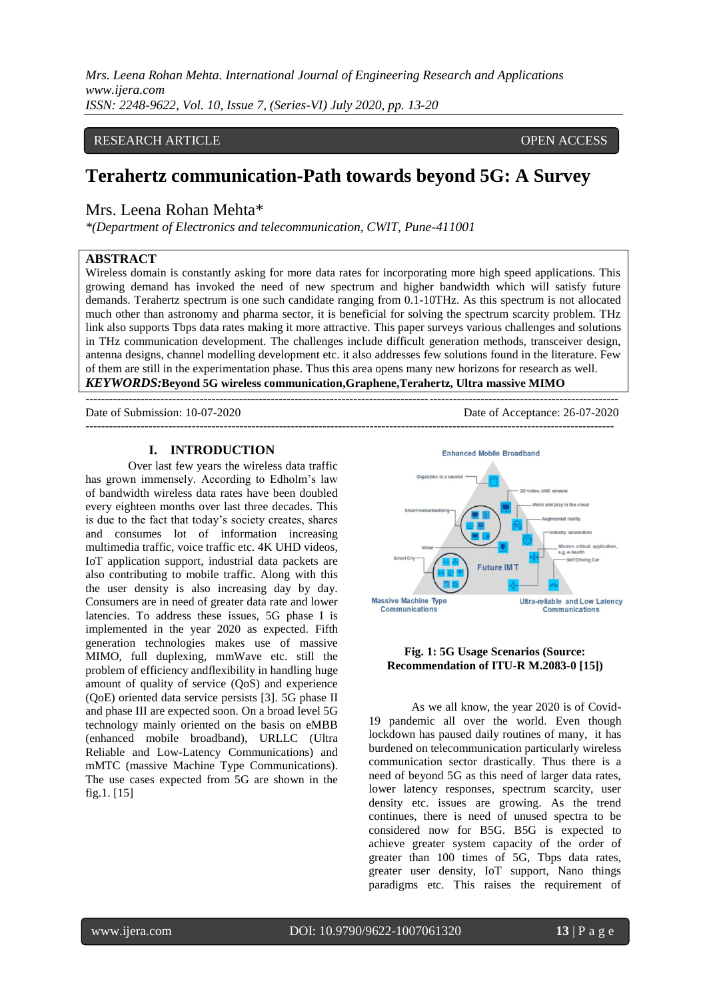*Mrs. Leena Rohan Mehta. International Journal of Engineering Research and Applications www.ijera.com ISSN: 2248-9622, Vol. 10, Issue 7, (Series-VI) July 2020, pp. 13-20*

### RESEARCH ARTICLE **CONSERVERS** OPEN ACCESS

# **Terahertz communication-Path towards beyond 5G: A Survey**

# Mrs. Leena Rohan Mehta\*

*\*(Department of Electronics and telecommunication, CWIT, Pune-411001*

 $-+++++++++$ 

#### **ABSTRACT**

Wireless domain is constantly asking for more data rates for incorporating more high speed applications. This growing demand has invoked the need of new spectrum and higher bandwidth which will satisfy future demands. Terahertz spectrum is one such candidate ranging from 0.1-10THz. As this spectrum is not allocated much other than astronomy and pharma sector, it is beneficial for solving the spectrum scarcity problem. THz link also supports Tbps data rates making it more attractive. This paper surveys various challenges and solutions in THz communication development. The challenges include difficult generation methods, transceiver design, antenna designs, channel modelling development etc. it also addresses few solutions found in the literature. Few of them are still in the experimentation phase. Thus this area opens many new horizons for research as well. *KEYWORDS:***Beyond 5G wireless communication,Graphene,Terahertz, Ultra massive MIMO**

Date of Submission: 10-07-2020

#### **I. INTRODUCTION**

Over last few years the wireless data traffic has grown immensely. According to Edholm's law of bandwidth wireless data rates have been doubled every eighteen months over last three decades. This is due to the fact that today's society creates, shares and consumes lot of information increasing multimedia traffic, voice traffic etc. 4K UHD videos, IoT application support, industrial data packets are also contributing to mobile traffic. Along with this the user density is also increasing day by day. Consumers are in need of greater data rate and lower latencies. To address these issues, 5G phase I is implemented in the year 2020 as expected. Fifth generation technologies makes use of massive MIMO, full duplexing, mmWave etc. still the problem of efficiency andflexibility in handling huge amount of quality of service (QoS) and experience (QoE) oriented data service persists [3]. 5G phase II and phase III are expected soon. On a broad level 5G technology mainly oriented on the basis on eMBB (enhanced mobile broadband), URLLC (Ultra Reliable and Low-Latency Communications) and mMTC (massive Machine Type Communications). The use cases expected from 5G are shown in the fig.1. [15]



#### **Fig. 1: 5G Usage Scenarios (Source: Recommendation of ITU-R M.2083-0 [15])**

As we all know, the year 2020 is of Covid-19 pandemic all over the world. Even though lockdown has paused daily routines of many, it has burdened on telecommunication particularly wireless communication sector drastically. Thus there is a need of beyond 5G as this need of larger data rates, lower latency responses, spectrum scarcity, user density etc. issues are growing. As the trend continues, there is need of unused spectra to be considered now for B5G. B5G is expected to achieve greater system capacity of the order of greater than 100 times of 5G, Tbps data rates, greater user density, IoT support, Nano things paradigms etc. This raises the requirement of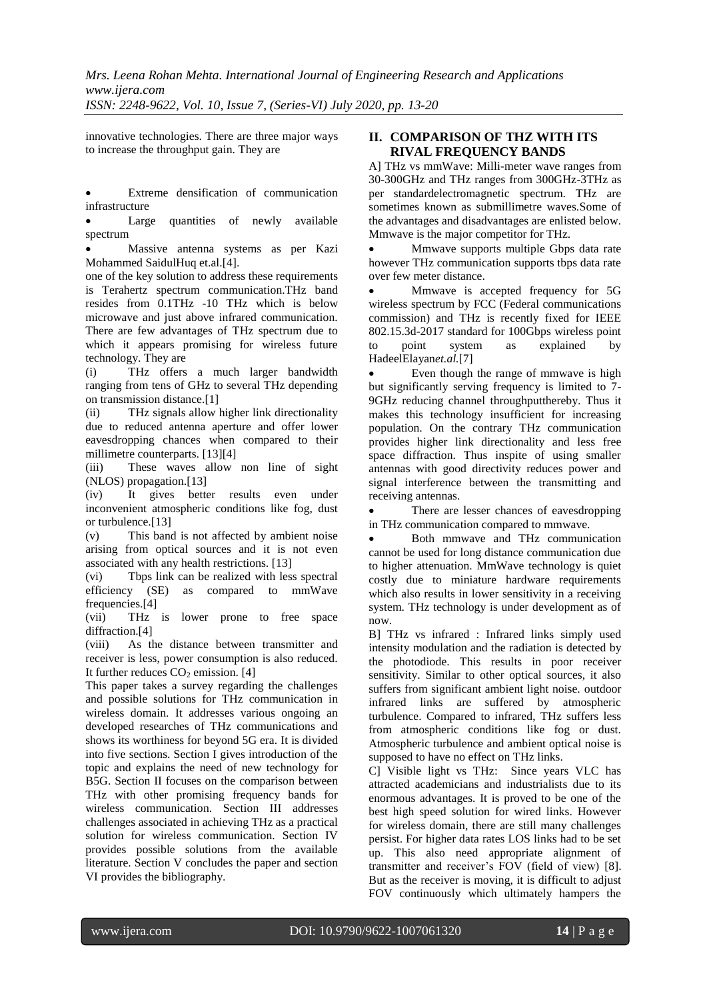innovative technologies. There are three major ways to increase the throughput gain. They are

 Extreme densification of communication infrastructure

• Large quantities of newly available spectrum

 Massive antenna systems as per Kazi Mohammed SaidulHuq et.al.[4].

one of the key solution to address these requirements is Terahertz spectrum communication.THz band resides from 0.1THz -10 THz which is below microwave and just above infrared communication. There are few advantages of THz spectrum due to which it appears promising for wireless future technology. They are

(i) THz offers a much larger bandwidth ranging from tens of GHz to several THz depending on transmission distance.[1]

(ii) THz signals allow higher link directionality due to reduced antenna aperture and offer lower eavesdropping chances when compared to their millimetre counterparts. [13][4]

(iii) These waves allow non line of sight (NLOS) propagation.[13]

(iv) It gives better results even under inconvenient atmospheric conditions like fog, dust or turbulence.[13]

(v) This band is not affected by ambient noise arising from optical sources and it is not even associated with any health restrictions. [13]

(vi) Tbps link can be realized with less spectral efficiency (SE) as compared to mmWave frequencies.[4]

(vii) THz is lower prone to free space diffraction.[4]

(viii) As the distance between transmitter and receiver is less, power consumption is also reduced. It further reduces  $CO<sub>2</sub>$  emission. [4]

This paper takes a survey regarding the challenges and possible solutions for THz communication in wireless domain. It addresses various ongoing an developed researches of THz communications and shows its worthiness for beyond 5G era. It is divided into five sections. Section I gives introduction of the topic and explains the need of new technology for B5G. Section II focuses on the comparison between THz with other promising frequency bands for wireless communication. Section III addresses challenges associated in achieving THz as a practical solution for wireless communication. Section IV provides possible solutions from the available literature. Section V concludes the paper and section VI provides the bibliography.

### **II. COMPARISON OF THZ WITH ITS RIVAL FREQUENCY BANDS**

A] THz vs mmWave: Milli-meter wave ranges from 30-300GHz and THz ranges from 300GHz-3THz as per standardelectromagnetic spectrum. THz are sometimes known as submillimetre waves.Some of the advantages and disadvantages are enlisted below. Mmwave is the major competitor for THz.

 Mmwave supports multiple Gbps data rate however THz communication supports tbps data rate over few meter distance.

 Mmwave is accepted frequency for 5G wireless spectrum by FCC (Federal communications commission) and THz is recently fixed for IEEE 802.15.3d-2017 standard for 100Gbps wireless point to point system as explained by HadeelElayan*et.al.*[7]

 Even though the range of mmwave is high but significantly serving frequency is limited to 7- 9GHz reducing channel throughputthereby. Thus it makes this technology insufficient for increasing population. On the contrary THz communication provides higher link directionality and less free space diffraction. Thus inspite of using smaller antennas with good directivity reduces power and signal interference between the transmitting and receiving antennas.

• There are lesser chances of eavesdropping in THz communication compared to mmwave.

 Both mmwave and THz communication cannot be used for long distance communication due to higher attenuation. MmWave technology is quiet costly due to miniature hardware requirements which also results in lower sensitivity in a receiving system. THz technology is under development as of now.

B] THz vs infrared : Infrared links simply used intensity modulation and the radiation is detected by the photodiode. This results in poor receiver sensitivity. Similar to other optical sources, it also suffers from significant ambient light noise. outdoor infrared links are suffered by atmospheric turbulence. Compared to infrared, THz suffers less from atmospheric conditions like fog or dust. Atmospheric turbulence and ambient optical noise is supposed to have no effect on THz links.

C] Visible light vs THz: Since years VLC has attracted academicians and industrialists due to its enormous advantages. It is proved to be one of the best high speed solution for wired links. However for wireless domain, there are still many challenges persist. For higher data rates LOS links had to be set up. This also need appropriate alignment of transmitter and receiver's FOV (field of view) [8]. But as the receiver is moving, it is difficult to adjust FOV continuously which ultimately hampers the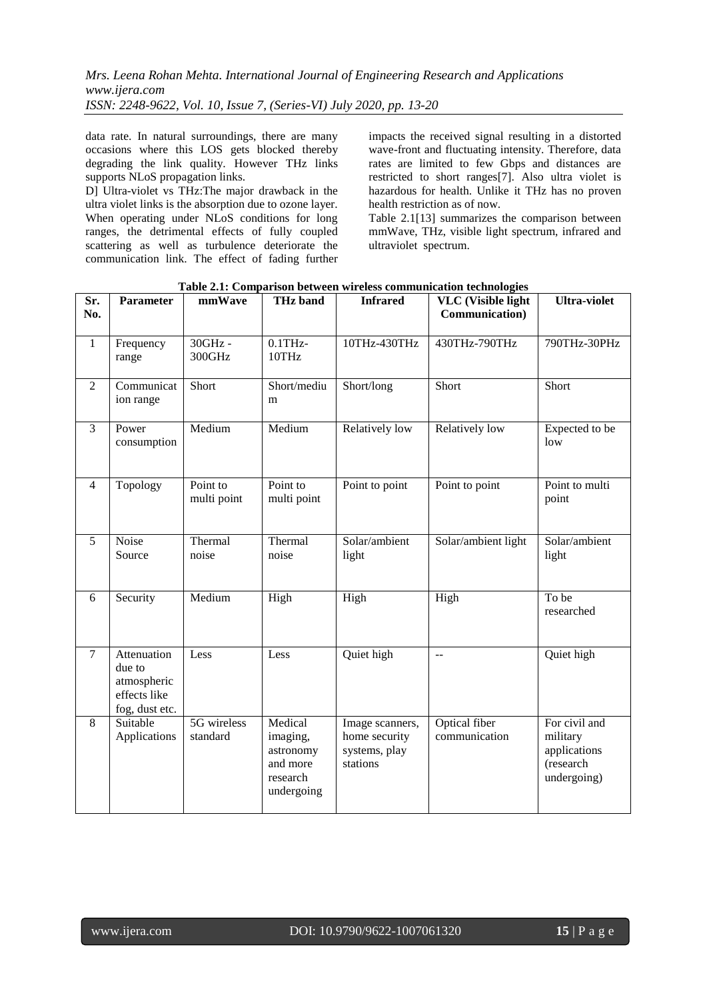data rate. In natural surroundings, there are many occasions where this LOS gets blocked thereby degrading the link quality. However THz links supports NLoS propagation links.

D] Ultra-violet vs THz:The major drawback in the ultra violet links is the absorption due to ozone layer. When operating under NLoS conditions for long ranges, the detrimental effects of fully coupled scattering as well as turbulence deteriorate the communication link. The effect of fading further

impacts the received signal resulting in a distorted wave-front and fluctuating intensity. Therefore, data rates are limited to few Gbps and distances are restricted to short ranges[7]. Also ultra violet is hazardous for health. Unlike it THz has no proven health restriction as of now.

Table 2.1[13] summarizes the comparison between mmWave, THz, visible light spectrum, infrared and ultraviolet spectrum.

| Sr.<br>No.     | <b>Parameter</b>                                                       | mmWave                  | THz band                                                               | <b>Infrared</b>                                               | <b>VLC</b> (Visible light<br>Communication) | Ultra-violet                                                          |
|----------------|------------------------------------------------------------------------|-------------------------|------------------------------------------------------------------------|---------------------------------------------------------------|---------------------------------------------|-----------------------------------------------------------------------|
| $\mathbf{1}$   | Frequency<br>range                                                     | 30GHz -<br>300GHz       | 0.1THz<br>10THz                                                        | 10THz-430THz                                                  | 430THz-790THz                               | 790THz-30PHz                                                          |
| $\overline{2}$ | Communicat<br>ion range                                                | Short                   | Short/mediu<br>m                                                       | Short/long                                                    | Short                                       | Short                                                                 |
| $\overline{3}$ | Power<br>consumption                                                   | Medium                  | Medium                                                                 | <b>Relatively low</b>                                         | <b>Relatively low</b>                       | Expected to be<br>low                                                 |
| $\overline{4}$ | Topology                                                               | Point to<br>multi point | Point to<br>multi point                                                | Point to point                                                | Point to point                              | Point to multi<br>point                                               |
| $\overline{5}$ | Noise<br>Source                                                        | Thermal<br>noise        | Thermal<br>noise                                                       | Solar/ambient<br>light                                        | Solar/ambient light                         | Solar/ambient<br>light                                                |
| 6              | Security                                                               | Medium                  | High                                                                   | High                                                          | High                                        | To be<br>researched                                                   |
| $\overline{7}$ | Attenuation<br>due to<br>atmospheric<br>effects like<br>fog, dust etc. | Less                    | Less                                                                   | Quiet high                                                    | $-$                                         | Quiet high                                                            |
| $\overline{8}$ | Suitable<br>Applications                                               | 5G wireless<br>standard | Medical<br>imaging,<br>astronomy<br>and more<br>research<br>undergoing | Image scanners,<br>home security<br>systems, play<br>stations | Optical fiber<br>communication              | For civil and<br>military<br>applications<br>(research<br>undergoing) |

**Table 2.1: Comparison between wireless communication technologies**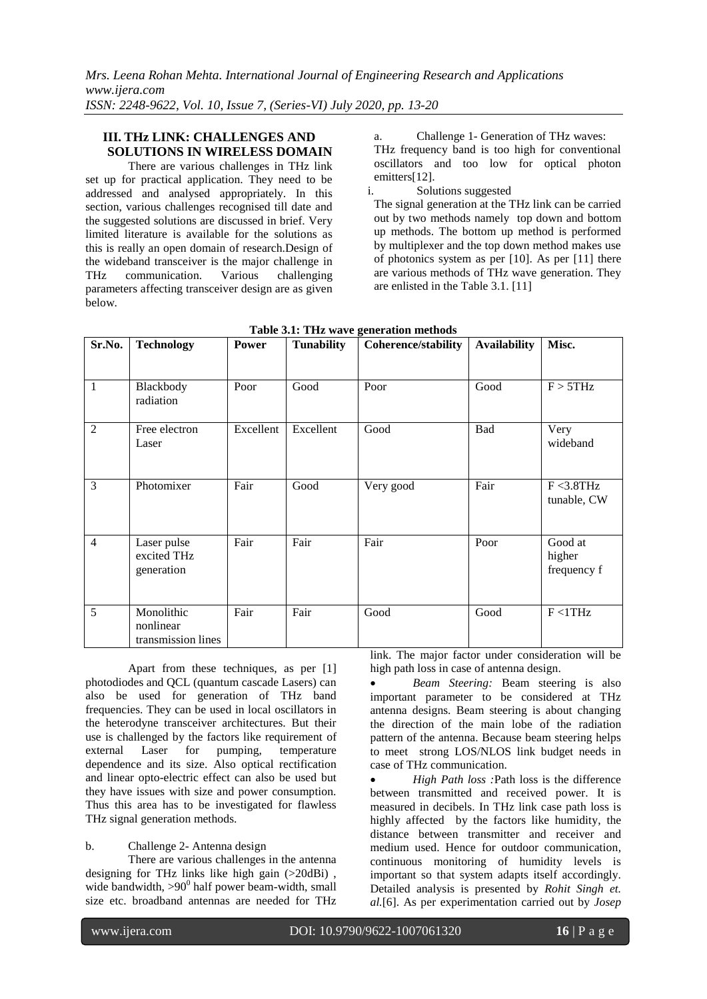# **III. THz LINK: CHALLENGES AND SOLUTIONS IN WIRELESS DOMAIN**

There are various challenges in THz link set up for practical application. They need to be addressed and analysed appropriately. In this section, various challenges recognised till date and the suggested solutions are discussed in brief. Very limited literature is available for the solutions as this is really an open domain of research.Design of the wideband transceiver is the major challenge in THz communication. Various challenging parameters affecting transceiver design are as given below.

Challenge 1- Generation of THz waves:

THz frequency band is too high for conventional oscillators and too low for optical photon emitters[12].

i. Solutions suggested

The signal generation at the THz link can be carried out by two methods namely top down and bottom up methods. The bottom up method is performed by multiplexer and the top down method makes use of photonics system as per [10]. As per [11] there are various methods of THz wave generation. They are enlisted in the Table 3.1. [11]

| Sr.No.         | <b>Technology</b>                             | <b>Power</b> | <b>Tunability</b> | <b>Coherence/stability</b> | <b>Availability</b> | Misc.                            |
|----------------|-----------------------------------------------|--------------|-------------------|----------------------------|---------------------|----------------------------------|
|                |                                               |              |                   |                            |                     |                                  |
| $\mathbf{1}$   | Blackbody<br>radiation                        | Poor         | Good              | Poor                       | Good                | F > 5THz                         |
| $\mathfrak{2}$ | Free electron<br>Laser                        | Excellent    | Excellent         | Good                       | Bad                 | Very<br>wideband                 |
| 3              | Photomixer                                    | Fair         | Good              | Very good                  | Fair                | $F < 3.8$ THz<br>tunable, CW     |
| 4              | Laser pulse<br>excited THz<br>generation      | Fair         | Fair              | Fair                       | Poor                | Good at<br>higher<br>frequency f |
| 5              | Monolithic<br>nonlinear<br>transmission lines | Fair         | Fair              | Good                       | Good                | F < 1THz                         |

**Table 3.1: THz wave generation methods**

Apart from these techniques, as per [1] photodiodes and QCL (quantum cascade Lasers) can also be used for generation of THz band frequencies. They can be used in local oscillators in the heterodyne transceiver architectures. But their use is challenged by the factors like requirement of external Laser for pumping, temperature external Laser for pumping, temperature dependence and its size. Also optical rectification and linear opto-electric effect can also be used but they have issues with size and power consumption. Thus this area has to be investigated for flawless THz signal generation methods.

#### b. Challenge 2- Antenna design

There are various challenges in the antenna designing for THz links like high gain (>20dBi) , wide bandwidth,  $>90^0$  half power beam-width, small size etc. broadband antennas are needed for THz

link. The major factor under consideration will be high path loss in case of antenna design.

 *Beam Steering:* Beam steering is also important parameter to be considered at THz antenna designs. Beam steering is about changing the direction of the main lobe of the radiation pattern of the antenna. Because beam steering helps to meet strong LOS/NLOS link budget needs in case of THz communication.

 *High Path loss :*Path loss is the difference between transmitted and received power. It is measured in decibels. In THz link case path loss is highly affected by the factors like humidity, the distance between transmitter and receiver and medium used. Hence for outdoor communication, continuous monitoring of humidity levels is important so that system adapts itself accordingly. Detailed analysis is presented by *Rohit Singh et. al.*[6]. As per experimentation carried out by *Josep*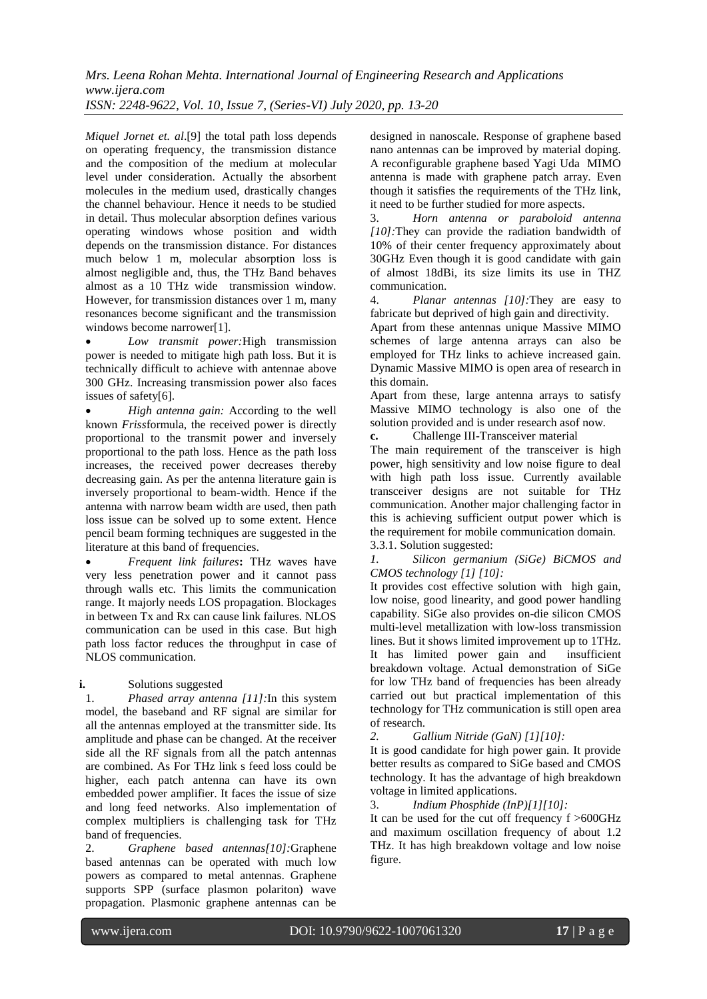*Mrs. Leena Rohan Mehta. International Journal of Engineering Research and Applications www.ijera.com ISSN: 2248-9622, Vol. 10, Issue 7, (Series-VI) July 2020, pp. 13-20*

*Miquel Jornet et. al*.[9] the total path loss depends on operating frequency, the transmission distance and the composition of the medium at molecular level under consideration. Actually the absorbent molecules in the medium used, drastically changes the channel behaviour. Hence it needs to be studied in detail. Thus molecular absorption defines various operating windows whose position and width depends on the transmission distance. For distances much below 1 m, molecular absorption loss is almost negligible and, thus, the THz Band behaves almost as a 10 THz wide transmission window. However, for transmission distances over 1 m, many resonances become significant and the transmission windows become narrower[1].

 *Low transmit power:*High transmission power is needed to mitigate high path loss. But it is technically difficult to achieve with antennae above 300 GHz. Increasing transmission power also faces issues of safety[6].

 *High antenna gain:* According to the well known *Friss*formula, the received power is directly proportional to the transmit power and inversely proportional to the path loss. Hence as the path loss increases, the received power decreases thereby decreasing gain. As per the antenna literature gain is inversely proportional to beam-width. Hence if the antenna with narrow beam width are used, then path loss issue can be solved up to some extent. Hence pencil beam forming techniques are suggested in the literature at this band of frequencies.

 *Frequent link failures***:** THz waves have very less penetration power and it cannot pass through walls etc. This limits the communication range. It majorly needs LOS propagation. Blockages in between Tx and Rx can cause link failures. NLOS communication can be used in this case. But high path loss factor reduces the throughput in case of NLOS communication.

#### **i.** Solutions suggested

1. *Phased array antenna [11]:*In this system model, the baseband and RF signal are similar for all the antennas employed at the transmitter side. Its amplitude and phase can be changed. At the receiver side all the RF signals from all the patch antennas are combined. As For THz link s feed loss could be higher, each patch antenna can have its own embedded power amplifier. It faces the issue of size and long feed networks. Also implementation of complex multipliers is challenging task for THz band of frequencies.

2. *Graphene based antennas[10]:*Graphene based antennas can be operated with much low powers as compared to metal antennas. Graphene supports SPP (surface plasmon polariton) wave propagation. Plasmonic graphene antennas can be designed in nanoscale. Response of graphene based nano antennas can be improved by material doping. A reconfigurable graphene based Yagi Uda MIMO antenna is made with graphene patch array. Even though it satisfies the requirements of the THz link, it need to be further studied for more aspects.

3. *Horn antenna or paraboloid antenna [10]:*They can provide the radiation bandwidth of 10% of their center frequency approximately about 30GHz Even though it is good candidate with gain of almost 18dBi, its size limits its use in THZ communication.

4. *Planar antennas [10]:*They are easy to fabricate but deprived of high gain and directivity.

Apart from these antennas unique Massive MIMO schemes of large antenna arrays can also be employed for THz links to achieve increased gain. Dynamic Massive MIMO is open area of research in this domain.

Apart from these, large antenna arrays to satisfy Massive MIMO technology is also one of the solution provided and is under research asof now.

**c.** Challenge III-Transceiver material

The main requirement of the transceiver is high power, high sensitivity and low noise figure to deal with high path loss issue. Currently available transceiver designs are not suitable for THz communication. Another major challenging factor in this is achieving sufficient output power which is the requirement for mobile communication domain. 3.3.1. Solution suggested:

*1. Silicon germanium (SiGe) BiCMOS and CMOS technology [1] [10]:* 

It provides cost effective solution with high gain, low noise, good linearity, and good power handling capability. SiGe also provides on-die silicon CMOS multi-level metallization with low-loss transmission lines. But it shows limited improvement up to 1THz. It has limited power gain and insufficient breakdown voltage. Actual demonstration of SiGe for low THz band of frequencies has been already carried out but practical implementation of this technology for THz communication is still open area of research.

*2. Gallium Nitride (GaN) [1][10]:* 

It is good candidate for high power gain. It provide better results as compared to SiGe based and CMOS technology. It has the advantage of high breakdown voltage in limited applications.

3. *Indium Phosphide (InP)[1][10]:*

It can be used for the cut off frequency f >600GHz and maximum oscillation frequency of about 1.2 THz. It has high breakdown voltage and low noise figure.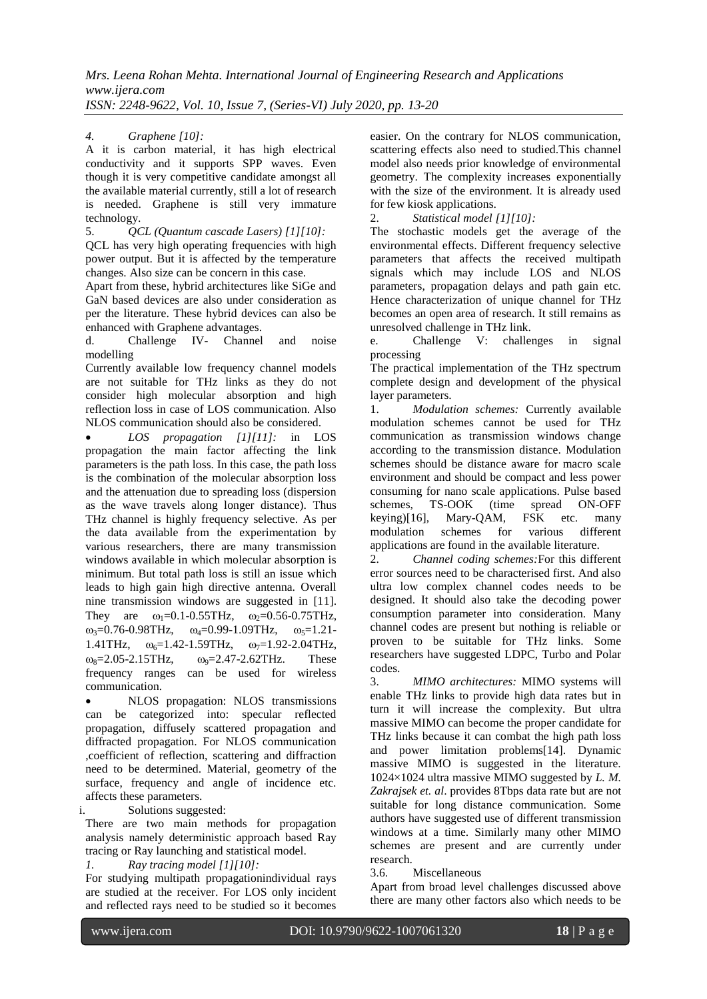# *4. Graphene [10]:*

A it is carbon material, it has high electrical conductivity and it supports SPP waves. Even though it is very competitive candidate amongst all the available material currently, still a lot of research is needed. Graphene is still very immature technology.

5. *QCL (Quantum cascade Lasers) [1][10]:*

QCL has very high operating frequencies with high power output. But it is affected by the temperature changes. Also size can be concern in this case.

Apart from these, hybrid architectures like SiGe and GaN based devices are also under consideration as per the literature. These hybrid devices can also be enhanced with Graphene advantages.

d. Challenge IV- Channel and noise modelling

Currently available low frequency channel models are not suitable for THz links as they do not consider high molecular absorption and high reflection loss in case of LOS communication. Also NLOS communication should also be considered.

 *LOS propagation [1][11]:* in LOS propagation the main factor affecting the link parameters is the path loss. In this case, the path loss is the combination of the molecular absorption loss and the attenuation due to spreading loss (dispersion as the wave travels along longer distance). Thus THz channel is highly frequency selective. As per the data available from the experimentation by various researchers, there are many transmission windows available in which molecular absorption is minimum. But total path loss is still an issue which leads to high gain high directive antenna. Overall nine transmission windows are suggested in [11]. They are  $\omega_1=0.1-0.55THz$ ,  $\omega_2=0.56-0.75THz$ ,  $\omega_3 = 0.76 - 0.98$ THz,  $\omega_4 = 0.99 - 1.09$ THz,  $\omega_5 = 1.21$ 1.41THz,  $\omega_6=1.42-1.59$ THz,  $\omega_7=1.92-2.04$ THz,  $\omega_s = 2.05 - 2.15$ THz,  $\omega_0 = 2.47 - 2.62$ THz. These frequency ranges can be used for wireless communication.

 NLOS propagation: NLOS transmissions can be categorized into: specular reflected propagation, diffusely scattered propagation and diffracted propagation. For NLOS communication ,coefficient of reflection, scattering and diffraction need to be determined. Material, geometry of the surface, frequency and angle of incidence etc. affects these parameters.

i. Solutions suggested:

There are two main methods for propagation analysis namely deterministic approach based Ray tracing or Ray launching and statistical model.

*1. Ray tracing model [1][10]:* 

For studying multipath propagationindividual rays are studied at the receiver. For LOS only incident and reflected rays need to be studied so it becomes easier. On the contrary for NLOS communication, scattering effects also need to studied.This channel model also needs prior knowledge of environmental geometry. The complexity increases exponentially with the size of the environment. It is already used for few kiosk applications.

## 2. *Statistical model [1][10]:*

The stochastic models get the average of the environmental effects. Different frequency selective parameters that affects the received multipath signals which may include LOS and NLOS parameters, propagation delays and path gain etc. Hence characterization of unique channel for THz becomes an open area of research. It still remains as unresolved challenge in THz link.

e. Challenge V: challenges in signal processing

The practical implementation of the THz spectrum complete design and development of the physical layer parameters.

1. *Modulation schemes:* Currently available modulation schemes cannot be used for THz communication as transmission windows change according to the transmission distance. Modulation schemes should be distance aware for macro scale environment and should be compact and less power consuming for nano scale applications. Pulse based schemes, TS-OOK (time spread ON-OFF keying)[16], Mary-QAM, FSK etc. many modulation schemes for various different applications are found in the available literature.

2. *Channel coding schemes:*For this different error sources need to be characterised first. And also ultra low complex channel codes needs to be designed. It should also take the decoding power consumption parameter into consideration. Many channel codes are present but nothing is reliable or proven to be suitable for THz links. Some researchers have suggested LDPC, Turbo and Polar codes.

3. *MIMO architectures:* MIMO systems will enable THz links to provide high data rates but in turn it will increase the complexity. But ultra massive MIMO can become the proper candidate for THz links because it can combat the high path loss and power limitation problems[14]. Dynamic massive MIMO is suggested in the literature. 1024×1024 ultra massive MIMO suggested by *L. M. Zakrajsek et. al*. provides 8Tbps data rate but are not suitable for long distance communication. Some authors have suggested use of different transmission windows at a time. Similarly many other MIMO schemes are present and are currently under research.

3.6. Miscellaneous

Apart from broad level challenges discussed above there are many other factors also which needs to be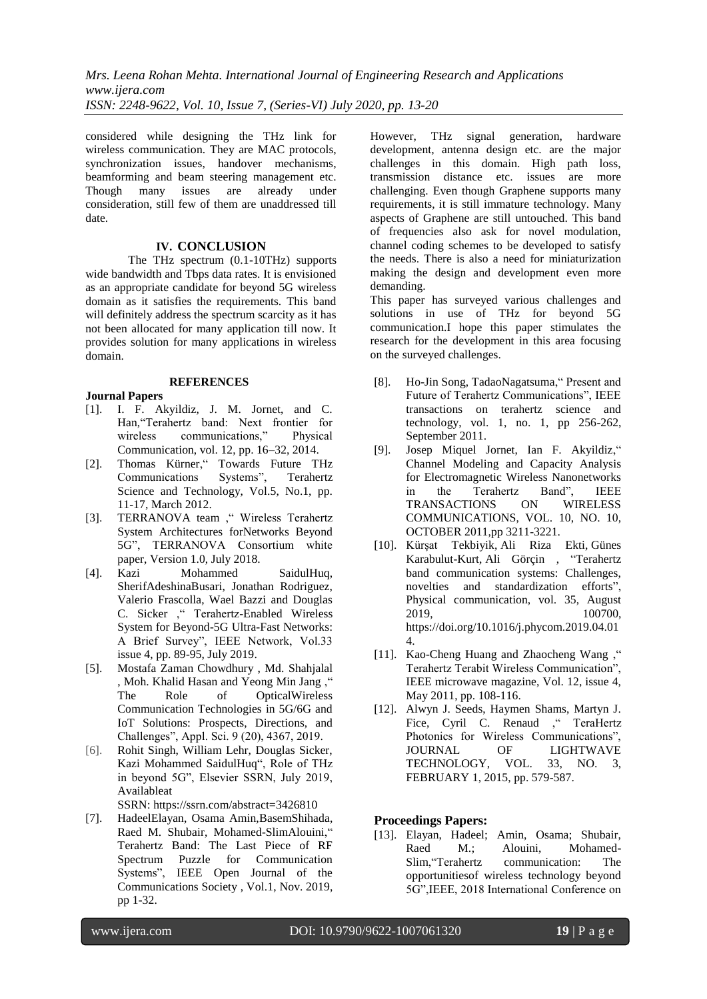considered while designing the THz link for wireless communication. They are MAC protocols, synchronization issues, handover mechanisms, beamforming and beam steering management etc. Though many issues are already under consideration, still few of them are unaddressed till date.

#### **IV. CONCLUSION**

The THz spectrum (0.1-10THz) supports wide bandwidth and Tbps data rates. It is envisioned as an appropriate candidate for beyond 5G wireless domain as it satisfies the requirements. This band will definitely address the spectrum scarcity as it has not been allocated for many application till now. It provides solution for many applications in wireless domain.

#### **REFERENCES**

#### **Journal Papers**

- [1]. I. F. Akyildiz, J. M. Jornet, and C. Han,"Terahertz band: Next frontier for wireless communications," Physical Communication, vol. 12, pp. 16–32, 2014.
- [2]. Thomas Kürner," Towards Future THz Communications Systems", Terahertz Science and Technology, Vol.5, No.1, pp. 11-17, March 2012.
- [3]. TERRANOVA team ," Wireless Terahertz System Architectures forNetworks Beyond 5G", TERRANOVA Consortium white paper, Version 1.0, July 2018.
- [4]. Kazi Mohammed SaidulHuq, SherifAdeshinaBusari, Jonathan Rodriguez, Valerio Frascolla, Wael Bazzi and Douglas C. Sicker ," Terahertz-Enabled Wireless System for Beyond-5G Ultra-Fast Networks: A Brief Survey", IEEE Network, Vol.33 issue 4, pp. 89-95, July 2019.
- [5]. Mostafa Zaman Chowdhury , Md. Shahjalal , Moh. Khalid Hasan and Yeong Min Jang ," The Role of OpticalWireless Communication Technologies in 5G/6G and IoT Solutions: Prospects, Directions, and Challenges", Appl. Sci. 9 (20), 4367, 2019.
- [6]. Rohit Singh, William Lehr, Douglas Sicker, Kazi Mohammed SaidulHuq", Role of THz in beyond 5G", Elsevier SSRN, July 2019, Availableat

SSRN: <https://ssrn.com/abstract=3426810>

[7]. HadeelElayan, Osama Amin,BasemShihada, Raed M. Shubair, Mohamed-SlimAlouini," Terahertz Band: The Last Piece of RF Spectrum Puzzle for Communication Systems", [IEEE Open Journal of the](https://ieeexplore.ieee.org/xpl/RecentIssue.jsp?punumber=8782661)  [Communications Society](https://ieeexplore.ieee.org/xpl/RecentIssue.jsp?punumber=8782661) , Vol.1, Nov. 2019, pp 1-32.

However, THz signal generation, hardware development, antenna design etc. are the major challenges in this domain. High path loss, transmission distance etc. issues are more challenging. Even though Graphene supports many requirements, it is still immature technology. Many aspects of Graphene are still untouched. This band of frequencies also ask for novel modulation, channel coding schemes to be developed to satisfy the needs. There is also a need for miniaturization making the design and development even more demanding.

This paper has surveyed various challenges and solutions in use of THz for beyond 5G communication.I hope this paper stimulates the research for the development in this area focusing on the surveyed challenges.

- [8]. Ho-Jin Song, TadaoNagatsuma," Present and Future of Terahertz Communications", IEEE transactions on terahertz science and technology, vol. 1, no. 1, pp 256-262, September 2011.
- [9]. Josep Miquel Jornet, Ian F. Akyildiz," Channel Modeling and Capacity Analysis for Electromagnetic Wireless Nanonetworks in the Terahertz Band", IEEE TRANSACTIONS ON WIRELESS COMMUNICATIONS, VOL. 10, NO. 10, OCTOBER 2011,pp 3211-3221.
- [10]. Kürşat [Tekbiyik,](https://www.semanticscholar.org/author/K%C3%BCr%C5%9Fat-Tekbiyik/8868540) [Ali Riza Ekti,](https://www.semanticscholar.org/author/Ali-Riza-Ekti/2793661) [Günes](https://www.semanticscholar.org/author/G%C3%BCnes-Karabulut-Kurt/1397291952)  [Karabulut-Kurt,](https://www.semanticscholar.org/author/G%C3%BCnes-Karabulut-Kurt/1397291952) [Ali Görçin](https://www.semanticscholar.org/author/Ali-G%C3%B6r%C3%A7in/3113291) , ["Terahertz](https://www.semanticscholar.org/paper/Terahertz-band-communication-systems%3A-Challenges%2C-Tekbiyik-Ekti/85837a6d7ae03964ab58f3558bb409b96867c0eb)  [band communication systems: Challenges,](https://www.semanticscholar.org/paper/Terahertz-band-communication-systems%3A-Challenges%2C-Tekbiyik-Ekti/85837a6d7ae03964ab58f3558bb409b96867c0eb)  [novelties and standardization efforts"](https://www.semanticscholar.org/paper/Terahertz-band-communication-systems%3A-Challenges%2C-Tekbiyik-Ekti/85837a6d7ae03964ab58f3558bb409b96867c0eb), Physical communication, vol. 35, August 2019, 100700, [https://doi.org/10.1016/j.phycom.2019.04.01](https://doi.org/10.1016/j.phycom.2019.04.014) [4.](https://doi.org/10.1016/j.phycom.2019.04.014)
- [11]. Kao-Cheng Huang and Zhaocheng Wang," Terahertz Terabit Wireless Communication", IEEE microwave magazine, Vol. 12, issue 4, May 2011, pp. 108-116.
- [12]. Alwyn J. Seeds, Haymen Shams, Martyn J. Fice, Cyril C. Renaud , TeraHertz Photonics for Wireless Communications", JOURNAL OF LIGHTWAVE TECHNOLOGY, VOL. 33, NO. 3, FEBRUARY 1, 2015, pp. 579-587.

# **Proceedings Papers:**

[13]. Elayan, Hadeel; Amin, Osama; Shubair, Raed M.; Alouini, Mohamed-Slim,"Terahertz communication: The opportunitiesof wireless technology beyond 5G",IEEE, 2018 International Conference on